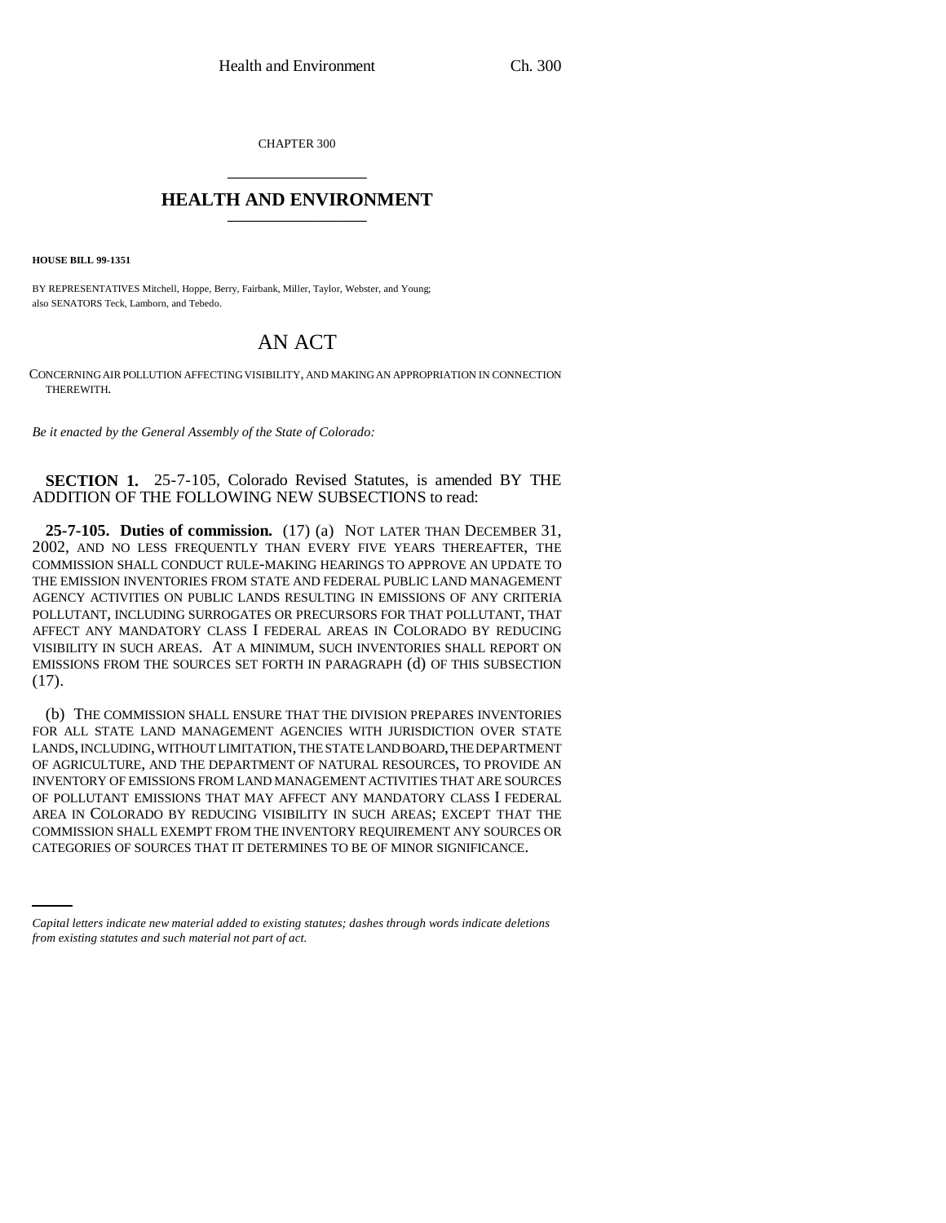CHAPTER 300 \_\_\_\_\_\_\_\_\_\_\_\_\_\_\_

## **HEALTH AND ENVIRONMENT** \_\_\_\_\_\_\_\_\_\_\_\_\_\_\_

**HOUSE BILL 99-1351** 

BY REPRESENTATIVES Mitchell, Hoppe, Berry, Fairbank, Miller, Taylor, Webster, and Young; also SENATORS Teck, Lamborn, and Tebedo.

## AN ACT

CONCERNING AIR POLLUTION AFFECTING VISIBILITY, AND MAKING AN APPROPRIATION IN CONNECTION THEREWITH.

*Be it enacted by the General Assembly of the State of Colorado:*

**SECTION 1.** 25-7-105, Colorado Revised Statutes, is amended BY THE ADDITION OF THE FOLLOWING NEW SUBSECTIONS to read:

**25-7-105. Duties of commission.** (17) (a) NOT LATER THAN DECEMBER 31, 2002, AND NO LESS FREQUENTLY THAN EVERY FIVE YEARS THEREAFTER, THE COMMISSION SHALL CONDUCT RULE-MAKING HEARINGS TO APPROVE AN UPDATE TO THE EMISSION INVENTORIES FROM STATE AND FEDERAL PUBLIC LAND MANAGEMENT AGENCY ACTIVITIES ON PUBLIC LANDS RESULTING IN EMISSIONS OF ANY CRITERIA POLLUTANT, INCLUDING SURROGATES OR PRECURSORS FOR THAT POLLUTANT, THAT AFFECT ANY MANDATORY CLASS I FEDERAL AREAS IN COLORADO BY REDUCING VISIBILITY IN SUCH AREAS. AT A MINIMUM, SUCH INVENTORIES SHALL REPORT ON EMISSIONS FROM THE SOURCES SET FORTH IN PARAGRAPH (d) OF THIS SUBSECTION (17).

COMMISSION SHALL EXEMPT FROM THE INVENTORY REQUIREMENT ANY SOURCES OR (b) THE COMMISSION SHALL ENSURE THAT THE DIVISION PREPARES INVENTORIES FOR ALL STATE LAND MANAGEMENT AGENCIES WITH JURISDICTION OVER STATE LANDS, INCLUDING, WITHOUT LIMITATION, THE STATE LAND BOARD, THE DEPARTMENT OF AGRICULTURE, AND THE DEPARTMENT OF NATURAL RESOURCES, TO PROVIDE AN INVENTORY OF EMISSIONS FROM LAND MANAGEMENT ACTIVITIES THAT ARE SOURCES OF POLLUTANT EMISSIONS THAT MAY AFFECT ANY MANDATORY CLASS I FEDERAL AREA IN COLORADO BY REDUCING VISIBILITY IN SUCH AREAS; EXCEPT THAT THE CATEGORIES OF SOURCES THAT IT DETERMINES TO BE OF MINOR SIGNIFICANCE.

*Capital letters indicate new material added to existing statutes; dashes through words indicate deletions from existing statutes and such material not part of act.*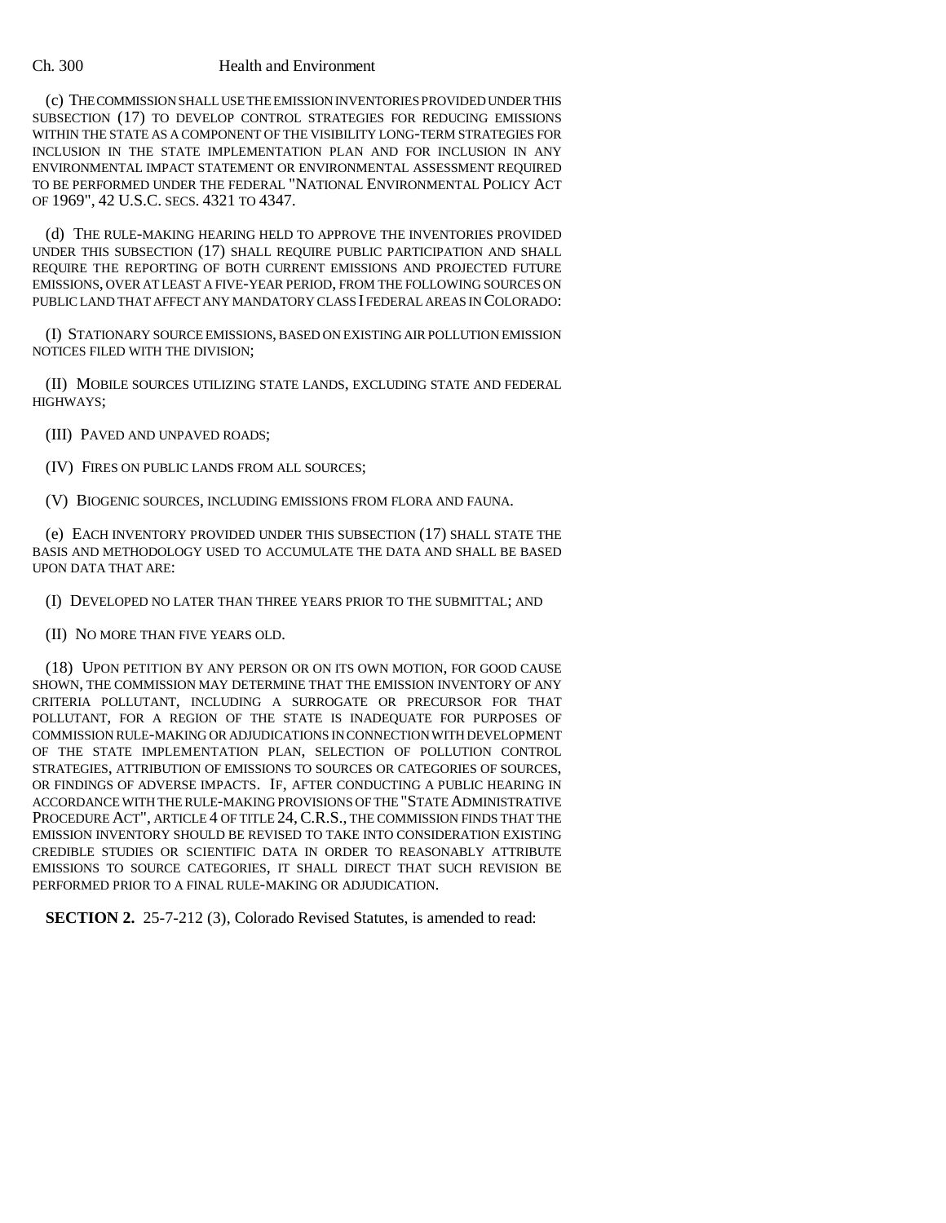## Ch. 300 Health and Environment

(c) THE COMMISSION SHALL USE THE EMISSION INVENTORIES PROVIDED UNDER THIS SUBSECTION (17) TO DEVELOP CONTROL STRATEGIES FOR REDUCING EMISSIONS WITHIN THE STATE AS A COMPONENT OF THE VISIBILITY LONG-TERM STRATEGIES FOR INCLUSION IN THE STATE IMPLEMENTATION PLAN AND FOR INCLUSION IN ANY ENVIRONMENTAL IMPACT STATEMENT OR ENVIRONMENTAL ASSESSMENT REQUIRED TO BE PERFORMED UNDER THE FEDERAL "NATIONAL ENVIRONMENTAL POLICY ACT OF 1969", 42 U.S.C. SECS. 4321 TO 4347.

(d) THE RULE-MAKING HEARING HELD TO APPROVE THE INVENTORIES PROVIDED UNDER THIS SUBSECTION (17) SHALL REQUIRE PUBLIC PARTICIPATION AND SHALL REQUIRE THE REPORTING OF BOTH CURRENT EMISSIONS AND PROJECTED FUTURE EMISSIONS, OVER AT LEAST A FIVE-YEAR PERIOD, FROM THE FOLLOWING SOURCES ON PUBLIC LAND THAT AFFECT ANY MANDATORY CLASS I FEDERAL AREAS IN COLORADO:

(I) STATIONARY SOURCE EMISSIONS, BASED ON EXISTING AIR POLLUTION EMISSION NOTICES FILED WITH THE DIVISION;

(II) MOBILE SOURCES UTILIZING STATE LANDS, EXCLUDING STATE AND FEDERAL HIGHWAYS;

(III) PAVED AND UNPAVED ROADS;

(IV) FIRES ON PUBLIC LANDS FROM ALL SOURCES;

(V) BIOGENIC SOURCES, INCLUDING EMISSIONS FROM FLORA AND FAUNA.

(e) EACH INVENTORY PROVIDED UNDER THIS SUBSECTION (17) SHALL STATE THE BASIS AND METHODOLOGY USED TO ACCUMULATE THE DATA AND SHALL BE BASED UPON DATA THAT ARE:

(I) DEVELOPED NO LATER THAN THREE YEARS PRIOR TO THE SUBMITTAL; AND

(II) NO MORE THAN FIVE YEARS OLD.

(18) UPON PETITION BY ANY PERSON OR ON ITS OWN MOTION, FOR GOOD CAUSE SHOWN, THE COMMISSION MAY DETERMINE THAT THE EMISSION INVENTORY OF ANY CRITERIA POLLUTANT, INCLUDING A SURROGATE OR PRECURSOR FOR THAT POLLUTANT, FOR A REGION OF THE STATE IS INADEQUATE FOR PURPOSES OF COMMISSION RULE-MAKING OR ADJUDICATIONS IN CONNECTION WITH DEVELOPMENT OF THE STATE IMPLEMENTATION PLAN, SELECTION OF POLLUTION CONTROL STRATEGIES, ATTRIBUTION OF EMISSIONS TO SOURCES OR CATEGORIES OF SOURCES, OR FINDINGS OF ADVERSE IMPACTS. IF, AFTER CONDUCTING A PUBLIC HEARING IN ACCORDANCE WITH THE RULE-MAKING PROVISIONS OF THE "STATE ADMINISTRATIVE PROCEDURE ACT", ARTICLE 4 OF TITLE 24, C.R.S., THE COMMISSION FINDS THAT THE EMISSION INVENTORY SHOULD BE REVISED TO TAKE INTO CONSIDERATION EXISTING CREDIBLE STUDIES OR SCIENTIFIC DATA IN ORDER TO REASONABLY ATTRIBUTE EMISSIONS TO SOURCE CATEGORIES, IT SHALL DIRECT THAT SUCH REVISION BE PERFORMED PRIOR TO A FINAL RULE-MAKING OR ADJUDICATION.

**SECTION 2.** 25-7-212 (3), Colorado Revised Statutes, is amended to read: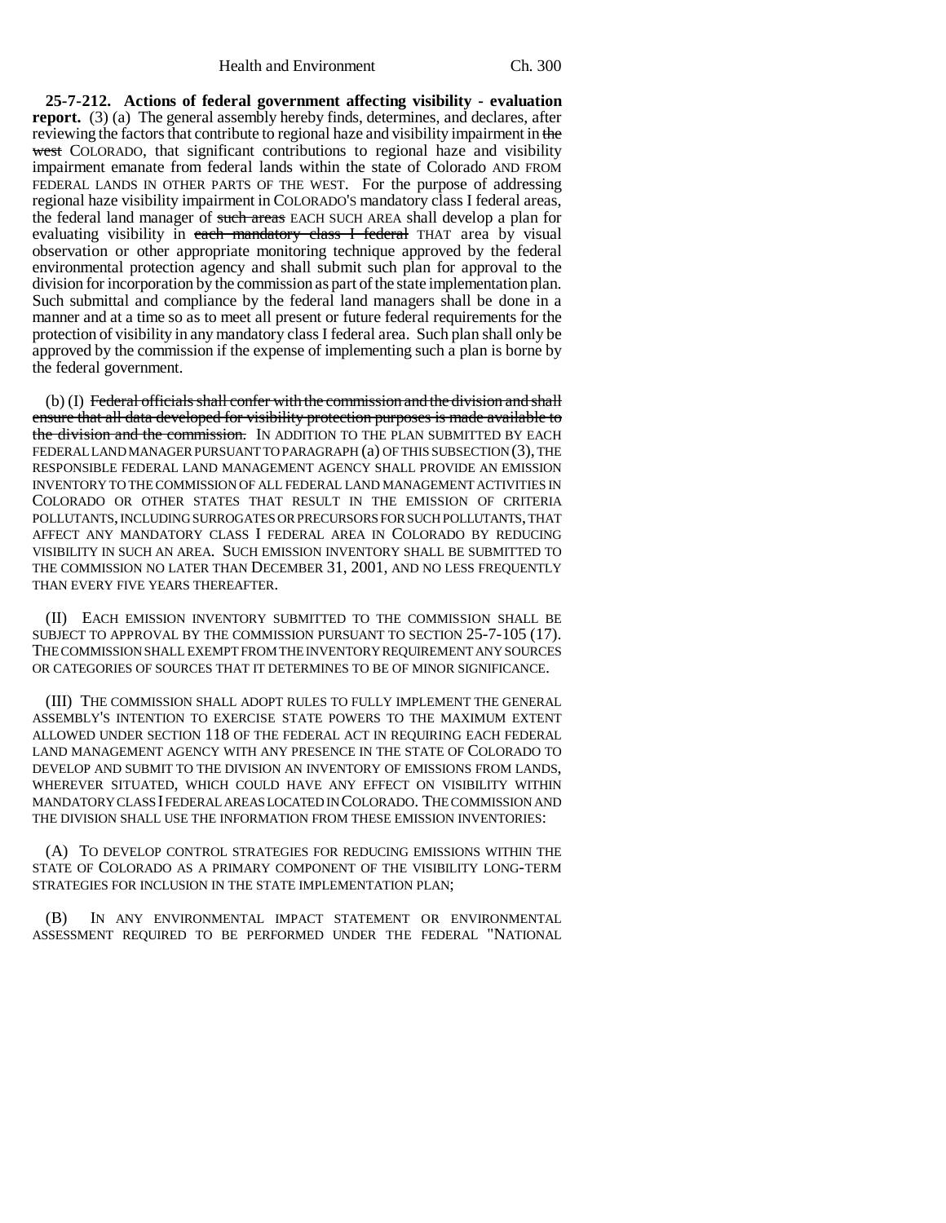**25-7-212. Actions of federal government affecting visibility - evaluation report.** (3) (a) The general assembly hereby finds, determines, and declares, after reviewing the factors that contribute to regional haze and visibility impairment in the west COLORADO, that significant contributions to regional haze and visibility impairment emanate from federal lands within the state of Colorado AND FROM FEDERAL LANDS IN OTHER PARTS OF THE WEST. For the purpose of addressing regional haze visibility impairment in COLORADO'S mandatory class I federal areas, the federal land manager of such areas EACH SUCH AREA shall develop a plan for evaluating visibility in each mandatory class I federal THAT area by visual observation or other appropriate monitoring technique approved by the federal environmental protection agency and shall submit such plan for approval to the division for incorporation by the commission as part of the state implementation plan. Such submittal and compliance by the federal land managers shall be done in a manner and at a time so as to meet all present or future federal requirements for the protection of visibility in any mandatory class I federal area. Such plan shall only be approved by the commission if the expense of implementing such a plan is borne by the federal government.

(b) (I) Federal officials shall confer with the commission and the division and shall ensure that all data developed for visibility protection purposes is made available to the division and the commission. IN ADDITION TO THE PLAN SUBMITTED BY EACH FEDERAL LAND MANAGER PURSUANT TO PARAGRAPH (a) OF THIS SUBSECTION (3), THE RESPONSIBLE FEDERAL LAND MANAGEMENT AGENCY SHALL PROVIDE AN EMISSION INVENTORY TO THE COMMISSION OF ALL FEDERAL LAND MANAGEMENT ACTIVITIES IN COLORADO OR OTHER STATES THAT RESULT IN THE EMISSION OF CRITERIA POLLUTANTS, INCLUDING SURROGATES OR PRECURSORS FOR SUCH POLLUTANTS, THAT AFFECT ANY MANDATORY CLASS I FEDERAL AREA IN COLORADO BY REDUCING VISIBILITY IN SUCH AN AREA. SUCH EMISSION INVENTORY SHALL BE SUBMITTED TO THE COMMISSION NO LATER THAN DECEMBER 31, 2001, AND NO LESS FREQUENTLY THAN EVERY FIVE YEARS THEREAFTER.

(II) EACH EMISSION INVENTORY SUBMITTED TO THE COMMISSION SHALL BE SUBJECT TO APPROVAL BY THE COMMISSION PURSUANT TO SECTION 25-7-105 (17). THE COMMISSION SHALL EXEMPT FROM THE INVENTORY REQUIREMENT ANY SOURCES OR CATEGORIES OF SOURCES THAT IT DETERMINES TO BE OF MINOR SIGNIFICANCE.

(III) THE COMMISSION SHALL ADOPT RULES TO FULLY IMPLEMENT THE GENERAL ASSEMBLY'S INTENTION TO EXERCISE STATE POWERS TO THE MAXIMUM EXTENT ALLOWED UNDER SECTION 118 OF THE FEDERAL ACT IN REQUIRING EACH FEDERAL LAND MANAGEMENT AGENCY WITH ANY PRESENCE IN THE STATE OF COLORADO TO DEVELOP AND SUBMIT TO THE DIVISION AN INVENTORY OF EMISSIONS FROM LANDS, WHEREVER SITUATED, WHICH COULD HAVE ANY EFFECT ON VISIBILITY WITHIN MANDATORY CLASS I FEDERAL AREAS LOCATED IN COLORADO. THE COMMISSION AND THE DIVISION SHALL USE THE INFORMATION FROM THESE EMISSION INVENTORIES:

(A) TO DEVELOP CONTROL STRATEGIES FOR REDUCING EMISSIONS WITHIN THE STATE OF COLORADO AS A PRIMARY COMPONENT OF THE VISIBILITY LONG-TERM STRATEGIES FOR INCLUSION IN THE STATE IMPLEMENTATION PLAN;

(B) IN ANY ENVIRONMENTAL IMPACT STATEMENT OR ENVIRONMENTAL ASSESSMENT REQUIRED TO BE PERFORMED UNDER THE FEDERAL "NATIONAL